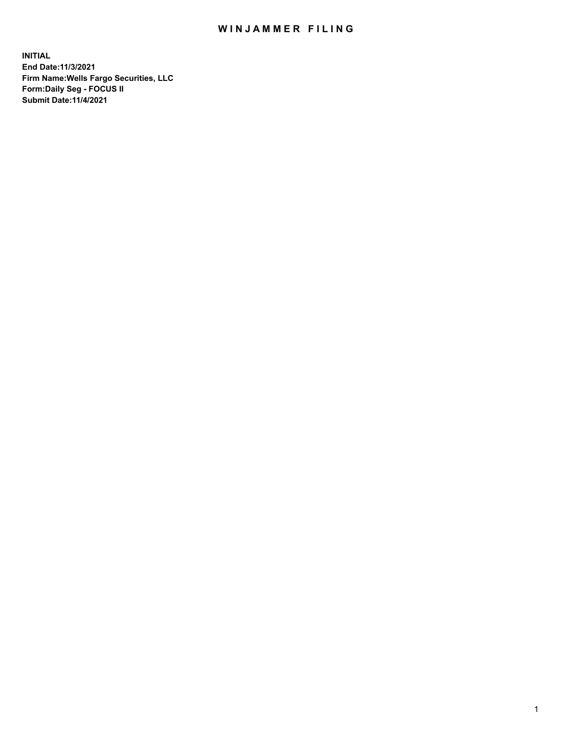## WIN JAMMER FILING

**INITIAL End Date:11/3/2021 Firm Name:Wells Fargo Securities, LLC Form:Daily Seg - FOCUS II Submit Date:11/4/2021**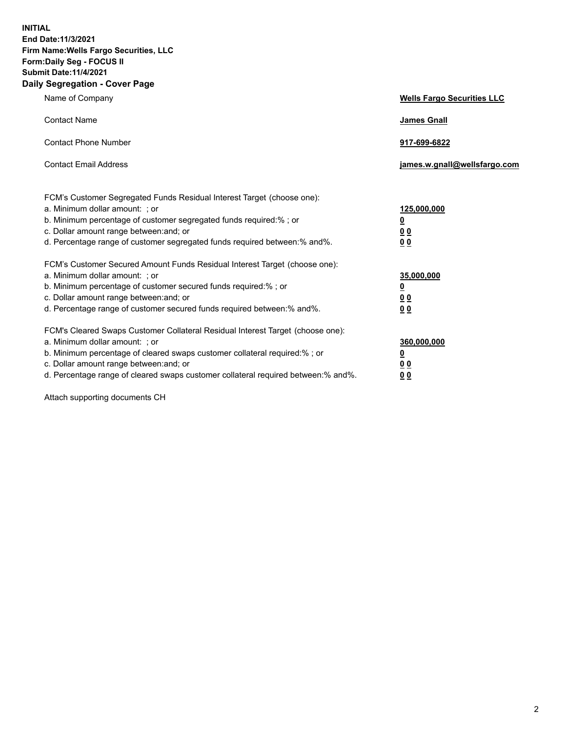**INITIAL End Date:11/3/2021 Firm Name:Wells Fargo Securities, LLC Form:Daily Seg - FOCUS II Submit Date:11/4/2021 Daily Segregation - Cover Page**

| Name of Company                                                                                                                                                                                                                                                                                                                | <b>Wells Fargo Securities LLC</b>                             |
|--------------------------------------------------------------------------------------------------------------------------------------------------------------------------------------------------------------------------------------------------------------------------------------------------------------------------------|---------------------------------------------------------------|
| <b>Contact Name</b>                                                                                                                                                                                                                                                                                                            | <b>James Gnall</b>                                            |
| <b>Contact Phone Number</b>                                                                                                                                                                                                                                                                                                    | 917-699-6822                                                  |
| <b>Contact Email Address</b>                                                                                                                                                                                                                                                                                                   | james.w.gnall@wellsfargo.com                                  |
| FCM's Customer Segregated Funds Residual Interest Target (choose one):<br>a. Minimum dollar amount: ; or<br>b. Minimum percentage of customer segregated funds required:% ; or<br>c. Dollar amount range between: and; or<br>d. Percentage range of customer segregated funds required between:% and%.                         | 125,000,000<br><u>0</u><br>0 <sub>0</sub><br>0 <sub>0</sub>   |
| FCM's Customer Secured Amount Funds Residual Interest Target (choose one):<br>a. Minimum dollar amount: ; or<br>b. Minimum percentage of customer secured funds required:%; or<br>c. Dollar amount range between: and; or<br>d. Percentage range of customer secured funds required between:% and%.                            | 35,000,000<br>$\overline{\mathbf{0}}$<br>00<br>0 <sub>0</sub> |
| FCM's Cleared Swaps Customer Collateral Residual Interest Target (choose one):<br>a. Minimum dollar amount: ; or<br>b. Minimum percentage of cleared swaps customer collateral required:% ; or<br>c. Dollar amount range between: and; or<br>d. Percentage range of cleared swaps customer collateral required between:% and%. | 360,000,000<br><u>0</u><br>00<br>00                           |

Attach supporting documents CH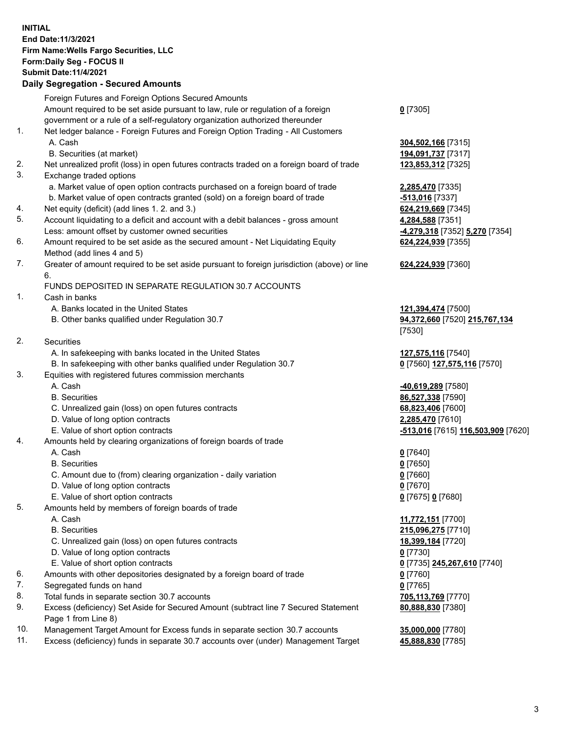**INITIAL End Date:11/3/2021 Firm Name:Wells Fargo Securities, LLC Form:Daily Seg - FOCUS II Submit Date:11/4/2021 Daily Segregation - Secured Amounts**

Foreign Futures and Foreign Options Secured Amounts Amount required to be set aside pursuant to law, rule or regulation of a foreign government or a rule of a self-regulatory organization authorized thereunder **0** [7305] 1. Net ledger balance - Foreign Futures and Foreign Option Trading - All Customers A. Cash **304,502,166** [7315] B. Securities (at market) **194,091,737** [7317] 2. Net unrealized profit (loss) in open futures contracts traded on a foreign board of trade **123,853,312** [7325] 3. Exchange traded options a. Market value of open option contracts purchased on a foreign board of trade **2,285,470** [7335] b. Market value of open contracts granted (sold) on a foreign board of trade **-513,016** [7337] 4. Net equity (deficit) (add lines 1. 2. and 3.) **624,219,669** [7345] 5. Account liquidating to a deficit and account with a debit balances - gross amount **4,284,588** [7351] Less: amount offset by customer owned securities **-4,279,318** [7352] **5,270** [7354] 6. Amount required to be set aside as the secured amount - Net Liquidating Equity Method (add lines 4 and 5) **624,224,939** [7355] 7. Greater of amount required to be set aside pursuant to foreign jurisdiction (above) or line 6. **624,224,939** [7360] FUNDS DEPOSITED IN SEPARATE REGULATION 30.7 ACCOUNTS 1. Cash in banks A. Banks located in the United States **121,394,474** [7500] B. Other banks qualified under Regulation 30.7 **94,372,660** [7520] **215,767,134** [7530] 2. Securities A. In safekeeping with banks located in the United States **127,575,116** [7540] B. In safekeeping with other banks qualified under Regulation 30.7 **0** [7560] **127,575,116** [7570] 3. Equities with registered futures commission merchants A. Cash **-40,619,289** [7580] B. Securities **86,527,338** [7590] C. Unrealized gain (loss) on open futures contracts **68,823,406** [7600] D. Value of long option contracts **2,285,470** [7610] E. Value of short option contracts **-513,016** [7615] **116,503,909** [7620] 4. Amounts held by clearing organizations of foreign boards of trade A. Cash **0** [7640] B. Securities **0** [7650] C. Amount due to (from) clearing organization - daily variation **0** [7660] D. Value of long option contracts **0** [7670] E. Value of short option contracts **0** [7675] **0** [7680] 5. Amounts held by members of foreign boards of trade A. Cash **11,772,151** [7700] B. Securities **215,096,275** [7710] C. Unrealized gain (loss) on open futures contracts **18,399,184** [7720] D. Value of long option contracts **0** [7730] E. Value of short option contracts **0** [7735] **245,267,610** [7740] 6. Amounts with other depositories designated by a foreign board of trade **0** [7760] 7. Segregated funds on hand **0** [7765] 8. Total funds in separate section 30.7 accounts **705,113,769** [7770] 9. Excess (deficiency) Set Aside for Secured Amount (subtract line 7 Secured Statement Page 1 from Line 8) **80,888,830** [7380] 10. Management Target Amount for Excess funds in separate section 30.7 accounts **35,000,000** [7780] 11. Excess (deficiency) funds in separate 30.7 accounts over (under) Management Target **45,888,830** [7785]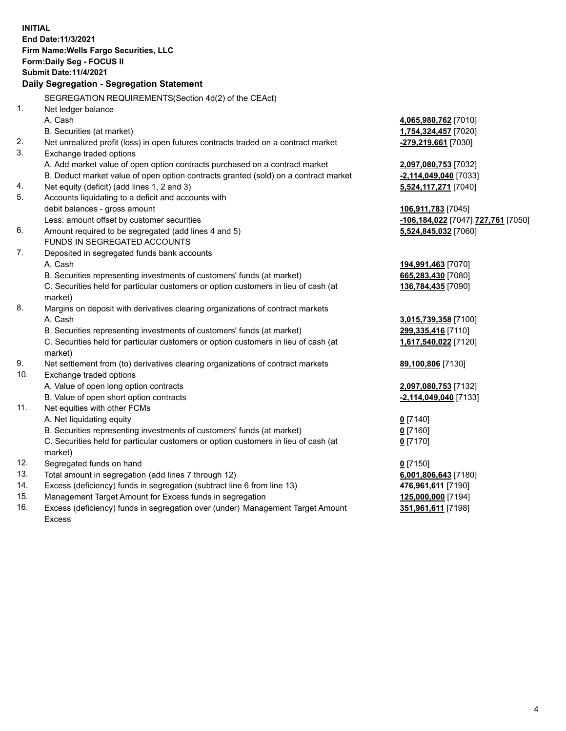**INITIAL End Date:11/3/2021 Firm Name:Wells Fargo Securities, LLC Form:Daily Seg - FOCUS II Submit Date:11/4/2021 Daily Segregation - Segregation Statement** SEGREGATION REQUIREMENTS(Section 4d(2) of the CEAct) 1. Net ledger balance A. Cash **4,065,980,762** [7010] B. Securities (at market) **1,754,324,457** [7020] 2. Net unrealized profit (loss) in open futures contracts traded on a contract market **-279,219,661** [7030] 3. Exchange traded options A. Add market value of open option contracts purchased on a contract market **2,097,080,753** [7032] B. Deduct market value of open option contracts granted (sold) on a contract market **-2,114,049,040** [7033] 4. Net equity (deficit) (add lines 1, 2 and 3) **5,524,117,271** [7040] 5. Accounts liquidating to a deficit and accounts with debit balances - gross amount **106,911,783** [7045] Less: amount offset by customer securities **-106,184,022** [7047] **727,761** [7050] 6. Amount required to be segregated (add lines 4 and 5) **5,524,845,032** [7060] FUNDS IN SEGREGATED ACCOUNTS 7. Deposited in segregated funds bank accounts A. Cash **194,991,463** [7070] B. Securities representing investments of customers' funds (at market) **665,283,430** [7080] C. Securities held for particular customers or option customers in lieu of cash (at market) **136,784,435** [7090] 8. Margins on deposit with derivatives clearing organizations of contract markets A. Cash **3,015,739,358** [7100] B. Securities representing investments of customers' funds (at market) **299,335,416** [7110] C. Securities held for particular customers or option customers in lieu of cash (at market) **1,617,540,022** [7120] 9. Net settlement from (to) derivatives clearing organizations of contract markets **89,100,806** [7130] 10. Exchange traded options A. Value of open long option contracts **2,097,080,753** [7132] B. Value of open short option contracts **-2,114,049,040** [7133] 11. Net equities with other FCMs A. Net liquidating equity **0** [7140] B. Securities representing investments of customers' funds (at market) **0** [7160] C. Securities held for particular customers or option customers in lieu of cash (at market) **0** [7170] 12. Segregated funds on hand **0** [7150] 13. Total amount in segregation (add lines 7 through 12) **6,001,806,643** [7180] 14. Excess (deficiency) funds in segregation (subtract line 6 from line 13) **476,961,611** [7190] 15. Management Target Amount for Excess funds in segregation **125,000,000** [7194] 16. Excess (deficiency) funds in segregation over (under) Management Target Amount **351,961,611** [7198]

Excess